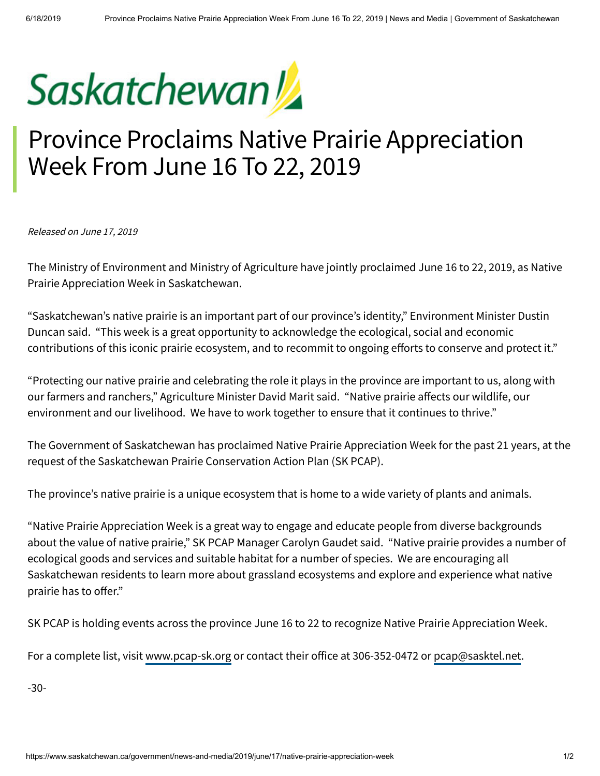

## Province Proclaims Native Prairie Appreciation Week From June 16 To 22, 2019

Released on June 17, 2019

The Ministry of Environment and Ministry of Agriculture have jointly proclaimed June 16 to 22, 2019, as Native Prairie Appreciation Week in Saskatchewan.

"Saskatchewan's native prairie is an important part of our province's identity," Environment Minister Dustin Duncan said. "This week is a great opportunity to acknowledge the ecological, social and economic contributions of this iconic prairie ecosystem, and to recommit to ongoing efforts to conserve and protect it."

"Protecting our native prairie and celebrating the role it plays in the province are important to us, along with our farmers and ranchers," Agriculture Minister David Marit said. "Native prairie affects our wildlife, our environment and our livelihood. We have to work together to ensure that it continues to thrive."

The Government of Saskatchewan has proclaimed Native Prairie Appreciation Week for the past 21 years, at the request of the Saskatchewan Prairie Conservation Action Plan (SK PCAP).

The province's native prairie is a unique ecosystem that is home to a wide variety of plants and animals.

"Native Prairie Appreciation Week is a great way to engage and educate people from diverse backgrounds about the value of native prairie," SK PCAP Manager Carolyn Gaudet said. "Native prairie provides a number of ecological goods and services and suitable habitat for a number of species. We are encouraging all Saskatchewan residents to learn more about grassland ecosystems and explore and experience what native prairie has to offer."

SK PCAP is holding events across the province June 16 to 22 to recognize Native Prairie Appreciation Week.

For a complete list, visit [www.pcap-sk.org](http://www.pcap-sk.org/) or contact their office at 306-352-0472 or [pcap@sasktel.net](mailto:pcap@sasktel.net).

-30-